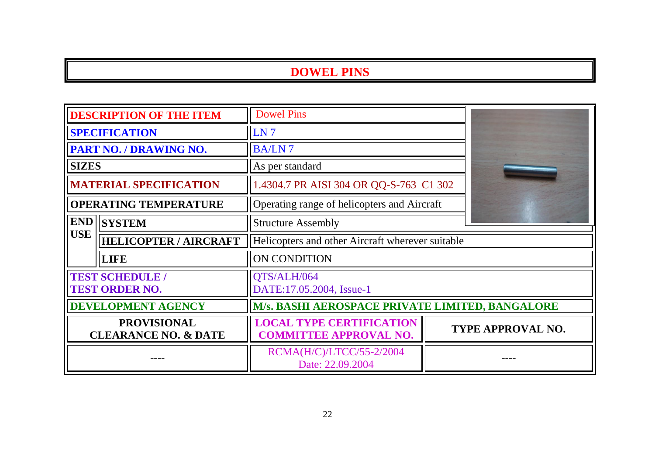## **DOWEL PINS**

| <b>DESCRIPTION OF THE ITEM</b>                        |                              | <b>Dowel Pins</b>                                                             |  |                   |
|-------------------------------------------------------|------------------------------|-------------------------------------------------------------------------------|--|-------------------|
| <b>SPECIFICATION</b>                                  |                              | LN <sub>7</sub>                                                               |  |                   |
| PART NO. / DRAWING NO.                                |                              | <b>BA/LN7</b>                                                                 |  |                   |
| <b>SIZES</b>                                          |                              | As per standard                                                               |  |                   |
| <b>MATERIAL SPECIFICATION</b>                         |                              | 1.4304.7 PR AISI 304 OR QQ-S-763 C1 302                                       |  |                   |
| <b>OPERATING TEMPERATURE</b>                          |                              | Operating range of helicopters and Aircraft                                   |  |                   |
| <b>END</b>                                            | <b>SYSTEM</b>                | <b>Structure Assembly</b><br>Helicopters and other Aircraft wherever suitable |  |                   |
| <b>USE</b>                                            | <b>HELICOPTER / AIRCRAFT</b> |                                                                               |  |                   |
|                                                       | <b>LIFE</b>                  | ON CONDITION                                                                  |  |                   |
| <b>TEST SCHEDULE /</b><br><b>TEST ORDER NO.</b>       |                              | QTS/ALH/064<br>DATE:17.05.2004, Issue-1                                       |  |                   |
| <b>DEVELOPMENT AGENCY</b>                             |                              | M/s. BASHI AEROSPACE PRIVATE LIMITED, BANGALORE                               |  |                   |
| <b>PROVISIONAL</b><br><b>CLEARANCE NO. &amp; DATE</b> |                              | <b>LOCAL TYPE CERTIFICATION</b><br><b>COMMITTEE APPROVAL NO.</b>              |  | TYPE APPROVAL NO. |
|                                                       |                              | RCMA(H/C)/LTCC/55-2/2004<br>Date: 22.09.2004                                  |  |                   |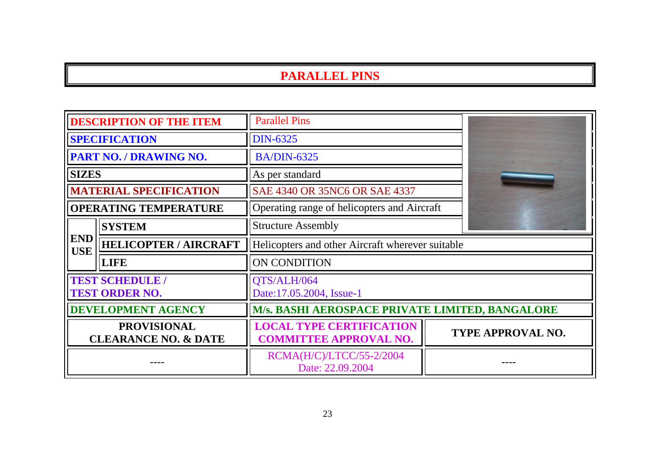### **PARALLEL PINS**

| <b>DESCRIPTION OF THE ITEM</b>                        |                              | <b>Parallel Pins</b>                                             |                          |
|-------------------------------------------------------|------------------------------|------------------------------------------------------------------|--------------------------|
| <b>SPECIFICATION</b>                                  |                              | <b>DIN-6325</b>                                                  |                          |
| PART NO. / DRAWING NO.                                |                              | <b>BA/DIN-6325</b>                                               |                          |
| <b>SIZES</b>                                          |                              | As per standard                                                  |                          |
| <b>MATERIAL SPECIFICATION</b>                         |                              | SAE 4340 OR 35NC6 OR SAE 4337                                    |                          |
| <b>OPERATING TEMPERATURE</b>                          |                              | Operating range of helicopters and Aircraft                      |                          |
|                                                       | <b>SYSTEM</b>                | <b>Structure Assembly</b>                                        |                          |
| <b>END</b><br><b>USE</b>                              | <b>HELICOPTER / AIRCRAFT</b> | Helicopters and other Aircraft wherever suitable                 |                          |
|                                                       | <b>LIFE</b>                  | ON CONDITION                                                     |                          |
| <b>TEST SCHEDULE /</b><br><b>TEST ORDER NO.</b>       |                              | QTS/ALH/064<br>Date:17.05.2004, Issue-1                          |                          |
| <b>DEVELOPMENT AGENCY</b>                             |                              | M/s. BASHI AEROSPACE PRIVATE LIMITED, BANGALORE                  |                          |
| <b>PROVISIONAL</b><br><b>CLEARANCE NO. &amp; DATE</b> |                              | <b>LOCAL TYPE CERTIFICATION</b><br><b>COMMITTEE APPROVAL NO.</b> | <b>TYPE APPROVAL NO.</b> |
|                                                       |                              | RCMA(H/C)/LTCC/55-2/2004<br>Date: 22.09.2004                     |                          |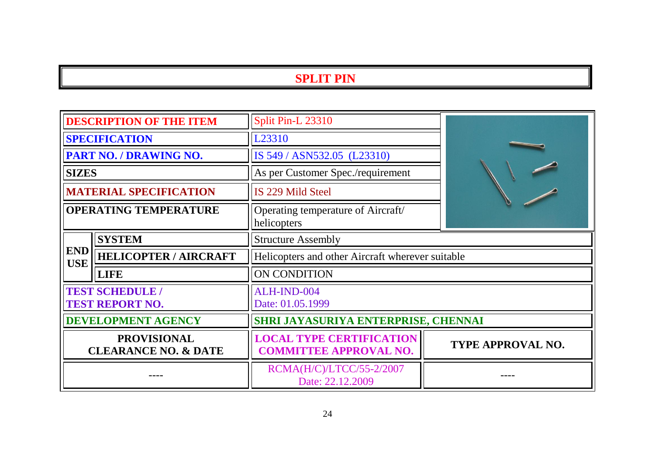### **SPLIT PIN**

| <b>DESCRIPTION OF THE ITEM</b>                        |                                                  | Split Pin-L 23310                                                |                          |  |
|-------------------------------------------------------|--------------------------------------------------|------------------------------------------------------------------|--------------------------|--|
| <b>SPECIFICATION</b>                                  |                                                  | L23310                                                           |                          |  |
| <b>PART NO. / DRAWING NO.</b>                         |                                                  | IS 549 / ASN532.05 (L23310)                                      |                          |  |
| <b>SIZES</b>                                          |                                                  | As per Customer Spec./requirement<br>IS 229 Mild Steel           |                          |  |
| <b>MATERIAL SPECIFICATION</b>                         |                                                  |                                                                  |                          |  |
| <b>OPERATING TEMPERATURE</b>                          |                                                  | Operating temperature of Aircraft/<br>helicopters                |                          |  |
|                                                       | <b>SYSTEM</b>                                    | <b>Structure Assembly</b>                                        |                          |  |
| <b>END</b><br><b>USE</b>                              | <b>HELICOPTER / AIRCRAFT</b>                     | Helicopters and other Aircraft wherever suitable                 |                          |  |
|                                                       | <b>LIFE</b>                                      | ON CONDITION                                                     |                          |  |
|                                                       | <b>TEST SCHEDULE /</b><br><b>TEST REPORT NO.</b> | ALH-IND-004<br>Date: 01.05.1999                                  |                          |  |
| <b>DEVELOPMENT AGENCY</b>                             |                                                  | SHRI JAYASURIYA ENTERPRISE, CHENNAI                              |                          |  |
| <b>PROVISIONAL</b><br><b>CLEARANCE NO. &amp; DATE</b> |                                                  | <b>LOCAL TYPE CERTIFICATION</b><br><b>COMMITTEE APPROVAL NO.</b> | <b>TYPE APPROVAL NO.</b> |  |
|                                                       |                                                  | RCMA(H/C)/LTCC/55-2/2007<br>Date: 22.12.2009                     |                          |  |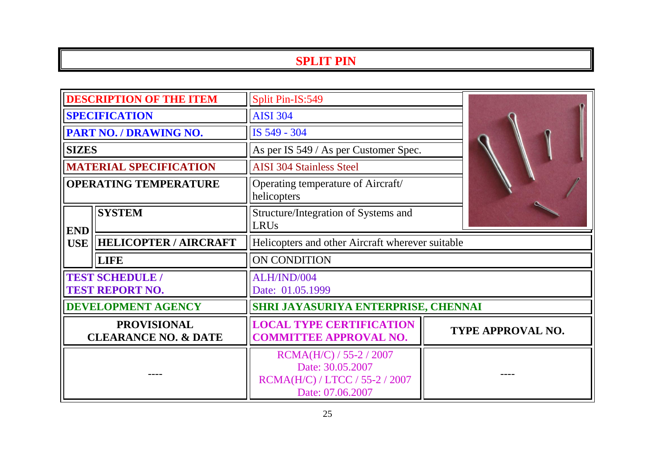# **SPLIT PIN**

| <b>DESCRIPTION OF THE ITEM</b>                        |                              | Split Pin-IS:549                                                                                    |                          |
|-------------------------------------------------------|------------------------------|-----------------------------------------------------------------------------------------------------|--------------------------|
| <b>SPECIFICATION</b>                                  |                              | <b>AISI 304</b>                                                                                     |                          |
| <b>PART NO. / DRAWING NO.</b>                         |                              | IS 549 - 304                                                                                        |                          |
| <b>SIZES</b>                                          |                              | As per IS 549 / As per Customer Spec.                                                               |                          |
| <b>MATERIAL SPECIFICATION</b>                         |                              | <b>AISI 304 Stainless Steel</b>                                                                     |                          |
| <b>OPERATING TEMPERATURE</b>                          |                              | Operating temperature of Aircraft/<br>helicopters                                                   |                          |
| <b>END</b>                                            | <b>SYSTEM</b>                | Structure/Integration of Systems and<br><b>LRUs</b>                                                 |                          |
| <b>USE</b>                                            | <b>HELICOPTER / AIRCRAFT</b> | Helicopters and other Aircraft wherever suitable                                                    |                          |
|                                                       | <b>LIFE</b>                  | ON CONDITION                                                                                        |                          |
| <b>TEST SCHEDULE /</b><br><b>TEST REPORT NO.</b>      |                              | ALH/IND/004<br>Date: 01.05.1999                                                                     |                          |
| DEVELOPMENT AGENCY                                    |                              | SHRI JAYASURIYA ENTERPRISE, CHENNAI                                                                 |                          |
| <b>PROVISIONAL</b><br><b>CLEARANCE NO. &amp; DATE</b> |                              | <b>LOCAL TYPE CERTIFICATION</b><br><b>COMMITTEE APPROVAL NO.</b>                                    | <b>TYPE APPROVAL NO.</b> |
|                                                       |                              | $RCMA(H/C) / 55-2 / 2007$<br>Date: 30.05.2007<br>RCMA(H/C) / LTCC / 55-2 / 2007<br>Date: 07.06.2007 |                          |